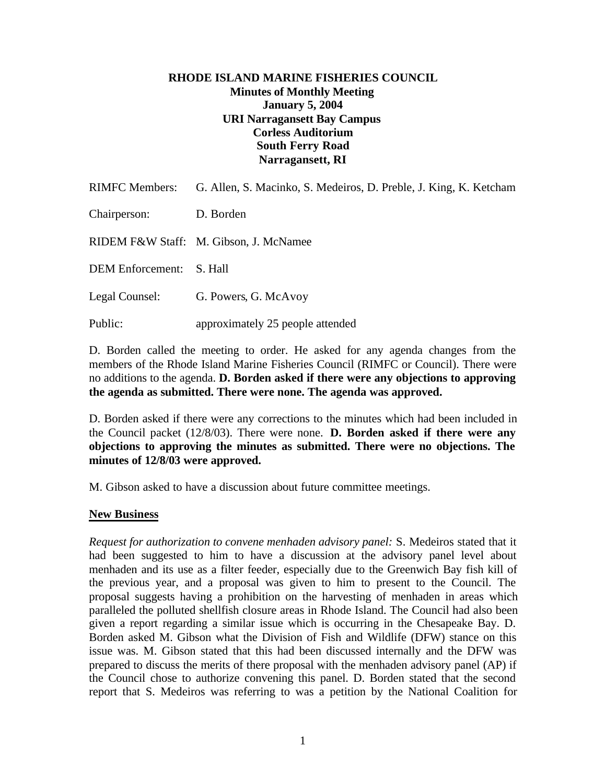## **RHODE ISLAND MARINE FISHERIES COUNCIL Minutes of Monthly Meeting January 5, 2004 URI Narragansett Bay Campus Corless Auditorium South Ferry Road Narragansett, RI**

| <b>RIMFC Members:</b>   | G. Allen, S. Macinko, S. Medeiros, D. Preble, J. King, K. Ketcham |
|-------------------------|-------------------------------------------------------------------|
| Chairperson:            | D. Borden                                                         |
|                         | RIDEM F&W Staff: M. Gibson, J. McNamee                            |
| <b>DEM</b> Enforcement: | S. Hall                                                           |
| Legal Counsel:          | G. Powers, G. McAvoy                                              |
| Public:                 | approximately 25 people attended                                  |

D. Borden called the meeting to order. He asked for any agenda changes from the members of the Rhode Island Marine Fisheries Council (RIMFC or Council). There were no additions to the agenda. **D. Borden asked if there were any objections to approving the agenda as submitted. There were none. The agenda was approved.**

D. Borden asked if there were any corrections to the minutes which had been included in the Council packet (12/8/03). There were none. **D. Borden asked if there were any objections to approving the minutes as submitted. There were no objections. The minutes of 12/8/03 were approved.**

M. Gibson asked to have a discussion about future committee meetings.

# **New Business**

*Request for authorization to convene menhaden advisory panel:* S. Medeiros stated that it had been suggested to him to have a discussion at the advisory panel level about menhaden and its use as a filter feeder, especially due to the Greenwich Bay fish kill of the previous year, and a proposal was given to him to present to the Council. The proposal suggests having a prohibition on the harvesting of menhaden in areas which paralleled the polluted shellfish closure areas in Rhode Island. The Council had also been given a report regarding a similar issue which is occurring in the Chesapeake Bay. D. Borden asked M. Gibson what the Division of Fish and Wildlife (DFW) stance on this issue was. M. Gibson stated that this had been discussed internally and the DFW was prepared to discuss the merits of there proposal with the menhaden advisory panel (AP) if the Council chose to authorize convening this panel. D. Borden stated that the second report that S. Medeiros was referring to was a petition by the National Coalition for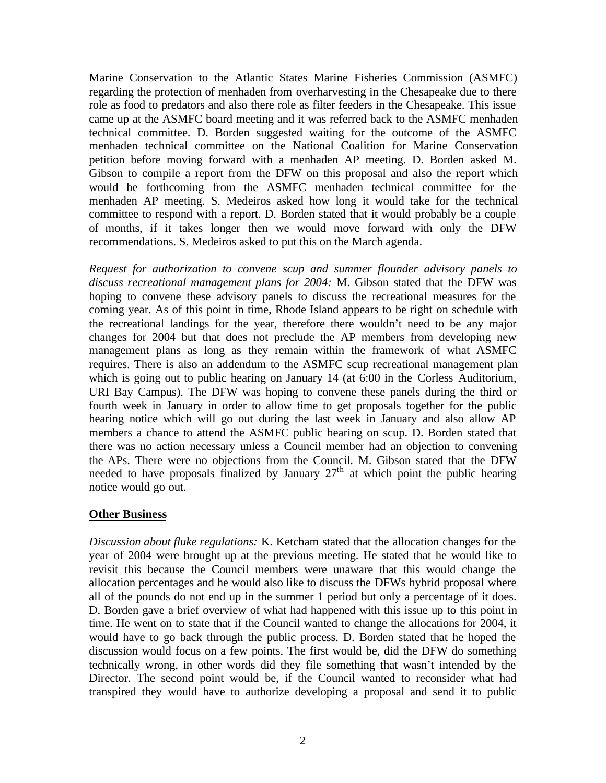Marine Conservation to the Atlantic States Marine Fisheries Commission (ASMFC) regarding the protection of menhaden from overharvesting in the Chesapeake due to there role as food to predators and also there role as filter feeders in the Chesapeake. This issue came up at the ASMFC board meeting and it was referred back to the ASMFC menhaden technical committee. D. Borden suggested waiting for the outcome of the ASMFC menhaden technical committee on the National Coalition for Marine Conservation petition before moving forward with a menhaden AP meeting. D. Borden asked M. Gibson to compile a report from the DFW on this proposal and also the report which would be forthcoming from the ASMFC menhaden technical committee for the menhaden AP meeting. S. Medeiros asked how long it would take for the technical committee to respond with a report. D. Borden stated that it would probably be a couple of months, if it takes longer then we would move forward with only the DFW recommendations. S. Medeiros asked to put this on the March agenda.

*Request for authorization to convene scup and summer flounder advisory panels to discuss recreational management plans for 2004:* M. Gibson stated that the DFW was hoping to convene these advisory panels to discuss the recreational measures for the coming year. As of this point in time, Rhode Island appears to be right on schedule with the recreational landings for the year, therefore there wouldn't need to be any major changes for 2004 but that does not preclude the AP members from developing new management plans as long as they remain within the framework of what ASMFC requires. There is also an addendum to the ASMFC scup recreational management plan which is going out to public hearing on January 14 (at 6:00 in the Corless Auditorium, URI Bay Campus). The DFW was hoping to convene these panels during the third or fourth week in January in order to allow time to get proposals together for the public hearing notice which will go out during the last week in January and also allow AP members a chance to attend the ASMFC public hearing on scup. D. Borden stated that there was no action necessary unless a Council member had an objection to convening the APs. There were no objections from the Council. M. Gibson stated that the DFW needed to have proposals finalized by January  $27<sup>th</sup>$  at which point the public hearing notice would go out.

### **Other Business**

*Discussion about fluke regulations:* K. Ketcham stated that the allocation changes for the year of 2004 were brought up at the previous meeting. He stated that he would like to revisit this because the Council members were unaware that this would change the allocation percentages and he would also like to discuss the DFWs hybrid proposal where all of the pounds do not end up in the summer 1 period but only a percentage of it does. D. Borden gave a brief overview of what had happened with this issue up to this point in time. He went on to state that if the Council wanted to change the allocations for 2004, it would have to go back through the public process. D. Borden stated that he hoped the discussion would focus on a few points. The first would be, did the DFW do something technically wrong, in other words did they file something that wasn't intended by the Director. The second point would be, if the Council wanted to reconsider what had transpired they would have to authorize developing a proposal and send it to public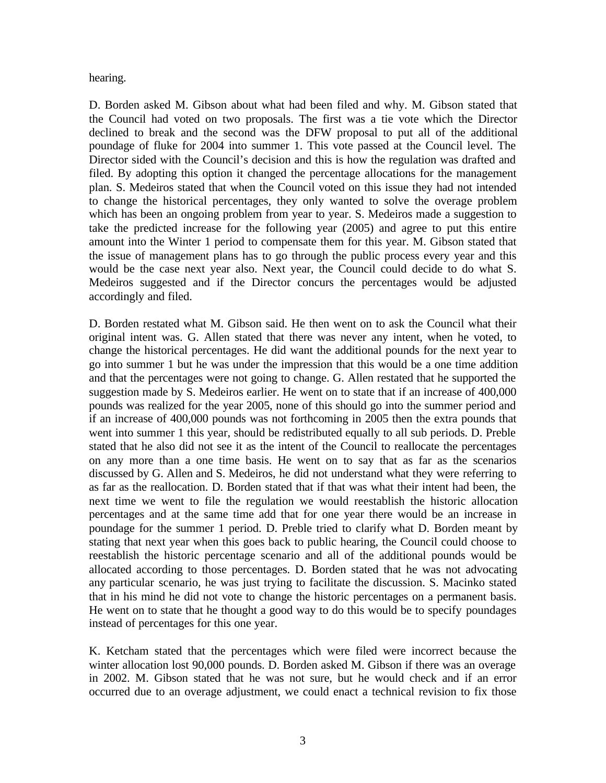hearing.

D. Borden asked M. Gibson about what had been filed and why. M. Gibson stated that the Council had voted on two proposals. The first was a tie vote which the Director declined to break and the second was the DFW proposal to put all of the additional poundage of fluke for 2004 into summer 1. This vote passed at the Council level. The Director sided with the Council's decision and this is how the regulation was drafted and filed. By adopting this option it changed the percentage allocations for the management plan. S. Medeiros stated that when the Council voted on this issue they had not intended to change the historical percentages, they only wanted to solve the overage problem which has been an ongoing problem from year to year. S. Medeiros made a suggestion to take the predicted increase for the following year (2005) and agree to put this entire amount into the Winter 1 period to compensate them for this year. M. Gibson stated that the issue of management plans has to go through the public process every year and this would be the case next year also. Next year, the Council could decide to do what S. Medeiros suggested and if the Director concurs the percentages would be adjusted accordingly and filed.

D. Borden restated what M. Gibson said. He then went on to ask the Council what their original intent was. G. Allen stated that there was never any intent, when he voted, to change the historical percentages. He did want the additional pounds for the next year to go into summer 1 but he was under the impression that this would be a one time addition and that the percentages were not going to change. G. Allen restated that he supported the suggestion made by S. Medeiros earlier. He went on to state that if an increase of 400,000 pounds was realized for the year 2005, none of this should go into the summer period and if an increase of 400,000 pounds was not forthcoming in 2005 then the extra pounds that went into summer 1 this year, should be redistributed equally to all sub periods. D. Preble stated that he also did not see it as the intent of the Council to reallocate the percentages on any more than a one time basis. He went on to say that as far as the scenarios discussed by G. Allen and S. Medeiros, he did not understand what they were referring to as far as the reallocation. D. Borden stated that if that was what their intent had been, the next time we went to file the regulation we would reestablish the historic allocation percentages and at the same time add that for one year there would be an increase in poundage for the summer 1 period. D. Preble tried to clarify what D. Borden meant by stating that next year when this goes back to public hearing, the Council could choose to reestablish the historic percentage scenario and all of the additional pounds would be allocated according to those percentages. D. Borden stated that he was not advocating any particular scenario, he was just trying to facilitate the discussion. S. Macinko stated that in his mind he did not vote to change the historic percentages on a permanent basis. He went on to state that he thought a good way to do this would be to specify poundages instead of percentages for this one year.

K. Ketcham stated that the percentages which were filed were incorrect because the winter allocation lost 90,000 pounds. D. Borden asked M. Gibson if there was an overage in 2002. M. Gibson stated that he was not sure, but he would check and if an error occurred due to an overage adjustment, we could enact a technical revision to fix those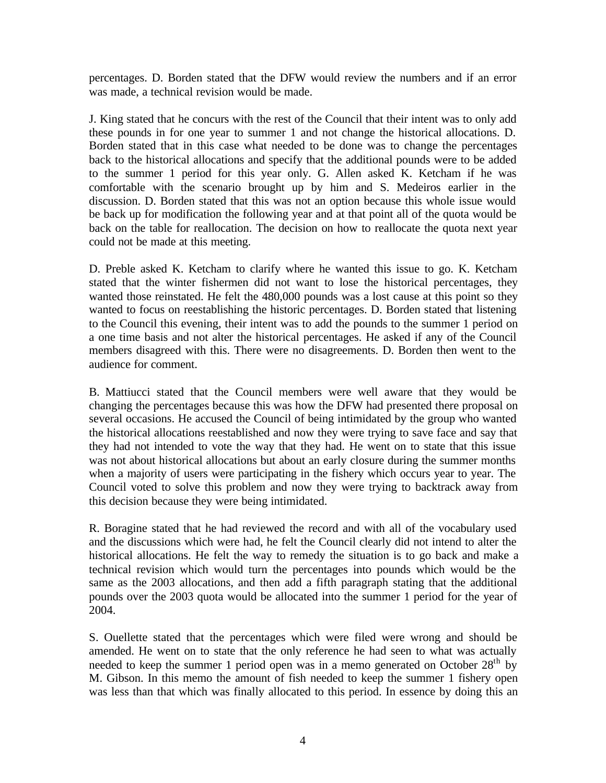percentages. D. Borden stated that the DFW would review the numbers and if an error was made, a technical revision would be made.

J. King stated that he concurs with the rest of the Council that their intent was to only add these pounds in for one year to summer 1 and not change the historical allocations. D. Borden stated that in this case what needed to be done was to change the percentages back to the historical allocations and specify that the additional pounds were to be added to the summer 1 period for this year only. G. Allen asked K. Ketcham if he was comfortable with the scenario brought up by him and S. Medeiros earlier in the discussion. D. Borden stated that this was not an option because this whole issue would be back up for modification the following year and at that point all of the quota would be back on the table for reallocation. The decision on how to reallocate the quota next year could not be made at this meeting.

D. Preble asked K. Ketcham to clarify where he wanted this issue to go. K. Ketcham stated that the winter fishermen did not want to lose the historical percentages, they wanted those reinstated. He felt the 480,000 pounds was a lost cause at this point so they wanted to focus on reestablishing the historic percentages. D. Borden stated that listening to the Council this evening, their intent was to add the pounds to the summer 1 period on a one time basis and not alter the historical percentages. He asked if any of the Council members disagreed with this. There were no disagreements. D. Borden then went to the audience for comment.

B. Mattiucci stated that the Council members were well aware that they would be changing the percentages because this was how the DFW had presented there proposal on several occasions. He accused the Council of being intimidated by the group who wanted the historical allocations reestablished and now they were trying to save face and say that they had not intended to vote the way that they had. He went on to state that this issue was not about historical allocations but about an early closure during the summer months when a majority of users were participating in the fishery which occurs year to year. The Council voted to solve this problem and now they were trying to backtrack away from this decision because they were being intimidated.

R. Boragine stated that he had reviewed the record and with all of the vocabulary used and the discussions which were had, he felt the Council clearly did not intend to alter the historical allocations. He felt the way to remedy the situation is to go back and make a technical revision which would turn the percentages into pounds which would be the same as the 2003 allocations, and then add a fifth paragraph stating that the additional pounds over the 2003 quota would be allocated into the summer 1 period for the year of 2004.

S. Ouellette stated that the percentages which were filed were wrong and should be amended. He went on to state that the only reference he had seen to what was actually needed to keep the summer 1 period open was in a memo generated on October  $28<sup>th</sup>$  by M. Gibson. In this memo the amount of fish needed to keep the summer 1 fishery open was less than that which was finally allocated to this period. In essence by doing this an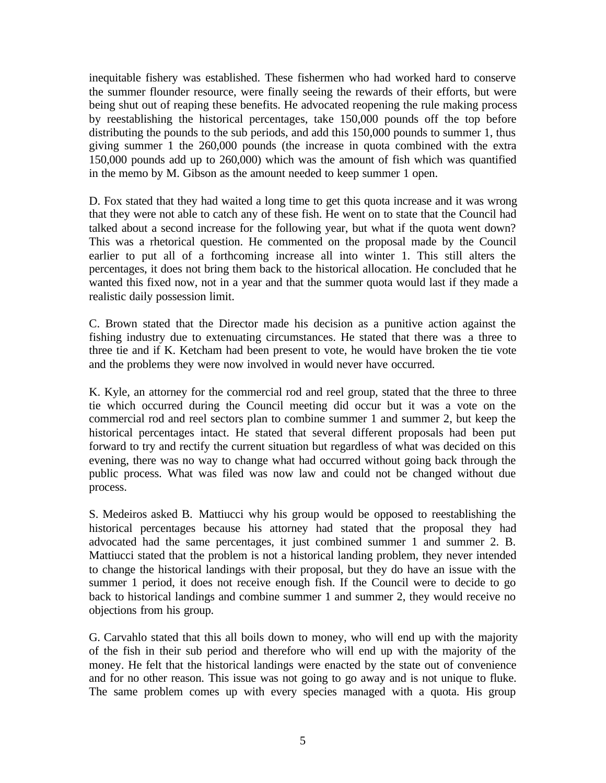inequitable fishery was established. These fishermen who had worked hard to conserve the summer flounder resource, were finally seeing the rewards of their efforts, but were being shut out of reaping these benefits. He advocated reopening the rule making process by reestablishing the historical percentages, take 150,000 pounds off the top before distributing the pounds to the sub periods, and add this 150,000 pounds to summer 1, thus giving summer 1 the 260,000 pounds (the increase in quota combined with the extra 150,000 pounds add up to 260,000) which was the amount of fish which was quantified in the memo by M. Gibson as the amount needed to keep summer 1 open.

D. Fox stated that they had waited a long time to get this quota increase and it was wrong that they were not able to catch any of these fish. He went on to state that the Council had talked about a second increase for the following year, but what if the quota went down? This was a rhetorical question. He commented on the proposal made by the Council earlier to put all of a forthcoming increase all into winter 1. This still alters the percentages, it does not bring them back to the historical allocation. He concluded that he wanted this fixed now, not in a year and that the summer quota would last if they made a realistic daily possession limit.

C. Brown stated that the Director made his decision as a punitive action against the fishing industry due to extenuating circumstances. He stated that there was a three to three tie and if K. Ketcham had been present to vote, he would have broken the tie vote and the problems they were now involved in would never have occurred.

K. Kyle, an attorney for the commercial rod and reel group, stated that the three to three tie which occurred during the Council meeting did occur but it was a vote on the commercial rod and reel sectors plan to combine summer 1 and summer 2, but keep the historical percentages intact. He stated that several different proposals had been put forward to try and rectify the current situation but regardless of what was decided on this evening, there was no way to change what had occurred without going back through the public process. What was filed was now law and could not be changed without due process.

S. Medeiros asked B. Mattiucci why his group would be opposed to reestablishing the historical percentages because his attorney had stated that the proposal they had advocated had the same percentages, it just combined summer 1 and summer 2. B. Mattiucci stated that the problem is not a historical landing problem, they never intended to change the historical landings with their proposal, but they do have an issue with the summer 1 period, it does not receive enough fish. If the Council were to decide to go back to historical landings and combine summer 1 and summer 2, they would receive no objections from his group.

G. Carvahlo stated that this all boils down to money, who will end up with the majority of the fish in their sub period and therefore who will end up with the majority of the money. He felt that the historical landings were enacted by the state out of convenience and for no other reason. This issue was not going to go away and is not unique to fluke. The same problem comes up with every species managed with a quota. His group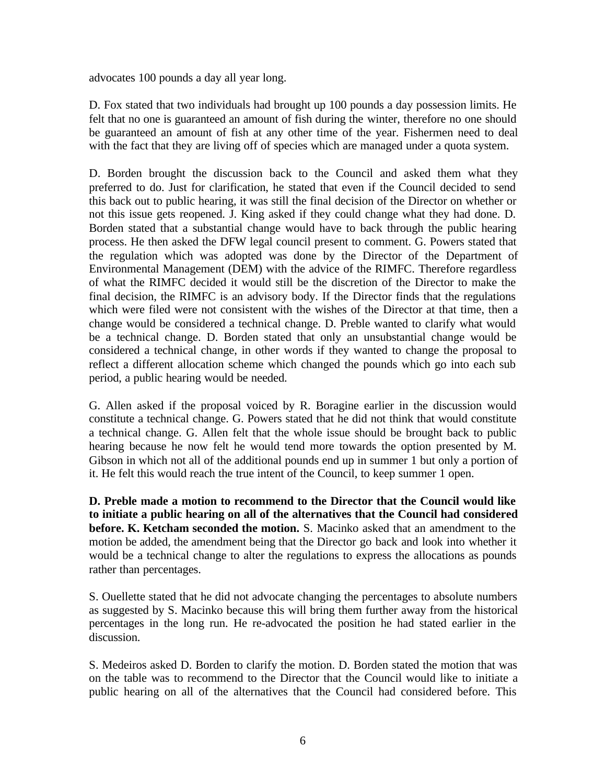advocates 100 pounds a day all year long.

D. Fox stated that two individuals had brought up 100 pounds a day possession limits. He felt that no one is guaranteed an amount of fish during the winter, therefore no one should be guaranteed an amount of fish at any other time of the year. Fishermen need to deal with the fact that they are living off of species which are managed under a quota system.

D. Borden brought the discussion back to the Council and asked them what they preferred to do. Just for clarification, he stated that even if the Council decided to send this back out to public hearing, it was still the final decision of the Director on whether or not this issue gets reopened. J. King asked if they could change what they had done. D. Borden stated that a substantial change would have to back through the public hearing process. He then asked the DFW legal council present to comment. G. Powers stated that the regulation which was adopted was done by the Director of the Department of Environmental Management (DEM) with the advice of the RIMFC. Therefore regardless of what the RIMFC decided it would still be the discretion of the Director to make the final decision, the RIMFC is an advisory body. If the Director finds that the regulations which were filed were not consistent with the wishes of the Director at that time, then a change would be considered a technical change. D. Preble wanted to clarify what would be a technical change. D. Borden stated that only an unsubstantial change would be considered a technical change, in other words if they wanted to change the proposal to reflect a different allocation scheme which changed the pounds which go into each sub period, a public hearing would be needed.

G. Allen asked if the proposal voiced by R. Boragine earlier in the discussion would constitute a technical change. G. Powers stated that he did not think that would constitute a technical change. G. Allen felt that the whole issue should be brought back to public hearing because he now felt he would tend more towards the option presented by M. Gibson in which not all of the additional pounds end up in summer 1 but only a portion of it. He felt this would reach the true intent of the Council, to keep summer 1 open.

**D. Preble made a motion to recommend to the Director that the Council would like to initiate a public hearing on all of the alternatives that the Council had considered before. K. Ketcham seconded the motion.** S. Macinko asked that an amendment to the motion be added, the amendment being that the Director go back and look into whether it would be a technical change to alter the regulations to express the allocations as pounds rather than percentages.

S. Ouellette stated that he did not advocate changing the percentages to absolute numbers as suggested by S. Macinko because this will bring them further away from the historical percentages in the long run. He re-advocated the position he had stated earlier in the discussion.

S. Medeiros asked D. Borden to clarify the motion. D. Borden stated the motion that was on the table was to recommend to the Director that the Council would like to initiate a public hearing on all of the alternatives that the Council had considered before. This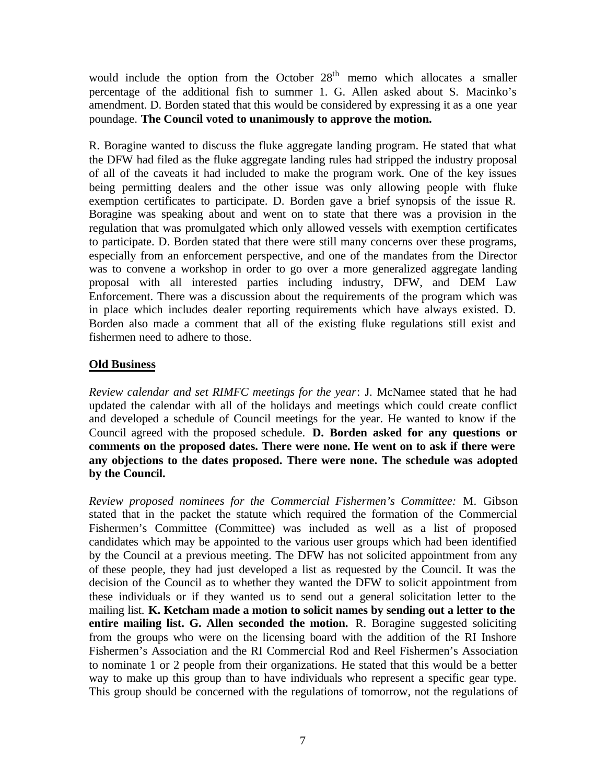would include the option from the October  $28<sup>th</sup>$  memo which allocates a smaller percentage of the additional fish to summer 1. G. Allen asked about S. Macinko's amendment. D. Borden stated that this would be considered by expressing it as a one year poundage. **The Council voted to unanimously to approve the motion.**

R. Boragine wanted to discuss the fluke aggregate landing program. He stated that what the DFW had filed as the fluke aggregate landing rules had stripped the industry proposal of all of the caveats it had included to make the program work. One of the key issues being permitting dealers and the other issue was only allowing people with fluke exemption certificates to participate. D. Borden gave a brief synopsis of the issue R. Boragine was speaking about and went on to state that there was a provision in the regulation that was promulgated which only allowed vessels with exemption certificates to participate. D. Borden stated that there were still many concerns over these programs, especially from an enforcement perspective, and one of the mandates from the Director was to convene a workshop in order to go over a more generalized aggregate landing proposal with all interested parties including industry, DFW, and DEM Law Enforcement. There was a discussion about the requirements of the program which was in place which includes dealer reporting requirements which have always existed. D. Borden also made a comment that all of the existing fluke regulations still exist and fishermen need to adhere to those.

# **Old Business**

*Review calendar and set RIMFC meetings for the year*: J. McNamee stated that he had updated the calendar with all of the holidays and meetings which could create conflict and developed a schedule of Council meetings for the year. He wanted to know if the Council agreed with the proposed schedule. **D. Borden asked for any questions or comments on the proposed dates. There were none. He went on to ask if there were any objections to the dates proposed. There were none. The schedule was adopted by the Council.**

*Review proposed nominees for the Commercial Fishermen's Committee:* M. Gibson stated that in the packet the statute which required the formation of the Commercial Fishermen's Committee (Committee) was included as well as a list of proposed candidates which may be appointed to the various user groups which had been identified by the Council at a previous meeting. The DFW has not solicited appointment from any of these people, they had just developed a list as requested by the Council. It was the decision of the Council as to whether they wanted the DFW to solicit appointment from these individuals or if they wanted us to send out a general solicitation letter to the mailing list. **K. Ketcham made a motion to solicit names by sending out a letter to the entire mailing list. G. Allen seconded the motion.** R. Boragine suggested soliciting from the groups who were on the licensing board with the addition of the RI Inshore Fishermen's Association and the RI Commercial Rod and Reel Fishermen's Association to nominate 1 or 2 people from their organizations. He stated that this would be a better way to make up this group than to have individuals who represent a specific gear type. This group should be concerned with the regulations of tomorrow, not the regulations of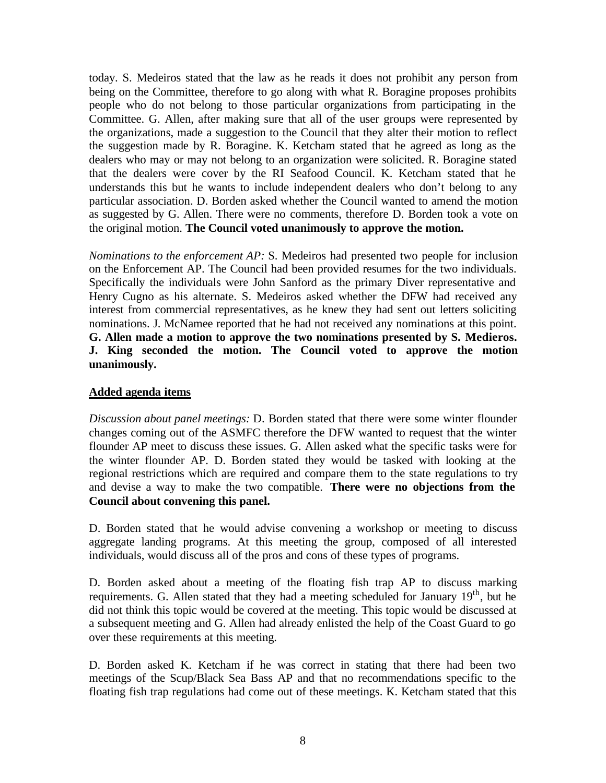today. S. Medeiros stated that the law as he reads it does not prohibit any person from being on the Committee, therefore to go along with what R. Boragine proposes prohibits people who do not belong to those particular organizations from participating in the Committee. G. Allen, after making sure that all of the user groups were represented by the organizations, made a suggestion to the Council that they alter their motion to reflect the suggestion made by R. Boragine. K. Ketcham stated that he agreed as long as the dealers who may or may not belong to an organization were solicited. R. Boragine stated that the dealers were cover by the RI Seafood Council. K. Ketcham stated that he understands this but he wants to include independent dealers who don't belong to any particular association. D. Borden asked whether the Council wanted to amend the motion as suggested by G. Allen. There were no comments, therefore D. Borden took a vote on the original motion. **The Council voted unanimously to approve the motion.**

*Nominations to the enforcement AP:* S. Medeiros had presented two people for inclusion on the Enforcement AP. The Council had been provided resumes for the two individuals. Specifically the individuals were John Sanford as the primary Diver representative and Henry Cugno as his alternate. S. Medeiros asked whether the DFW had received any interest from commercial representatives, as he knew they had sent out letters soliciting nominations. J. McNamee reported that he had not received any nominations at this point. **G. Allen made a motion to approve the two nominations presented by S. Medieros. J. King seconded the motion. The Council voted to approve the motion unanimously.**

### **Added agenda items**

*Discussion about panel meetings:* D. Borden stated that there were some winter flounder changes coming out of the ASMFC therefore the DFW wanted to request that the winter flounder AP meet to discuss these issues. G. Allen asked what the specific tasks were for the winter flounder AP. D. Borden stated they would be tasked with looking at the regional restrictions which are required and compare them to the state regulations to try and devise a way to make the two compatible. **There were no objections from the Council about convening this panel.**

D. Borden stated that he would advise convening a workshop or meeting to discuss aggregate landing programs. At this meeting the group, composed of all interested individuals, would discuss all of the pros and cons of these types of programs.

D. Borden asked about a meeting of the floating fish trap AP to discuss marking requirements. G. Allen stated that they had a meeting scheduled for January  $19<sup>th</sup>$ , but he did not think this topic would be covered at the meeting. This topic would be discussed at a subsequent meeting and G. Allen had already enlisted the help of the Coast Guard to go over these requirements at this meeting.

D. Borden asked K. Ketcham if he was correct in stating that there had been two meetings of the Scup/Black Sea Bass AP and that no recommendations specific to the floating fish trap regulations had come out of these meetings. K. Ketcham stated that this